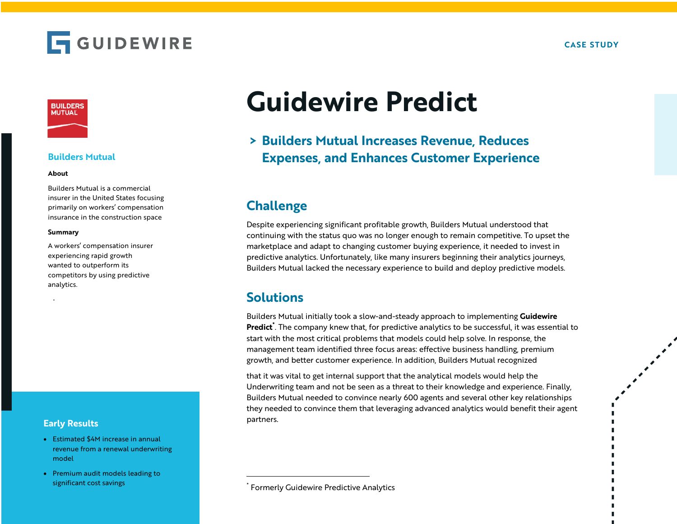



## **Builders Mutual**

#### **About**

Builders Mutual is a commercial insurer in the United States focusing primarily on workers' compensation insurance in the construction space

#### **Summary**

.

A workers' compensation insurer experiencing rapid growth wanted to outperform its competitors by using predictive analytics.

### **Early Results**

- Estimated \$4M increase in annual revenue from a renewal underwriting model
- Premium audit models leading to significant cost savings

# **Guidewire Predict**

# **> Builders Mutual Increases Revenue, Reduces Expenses, and Enhances Customer Experience**

# **Challenge**

Despite experiencing significant profitable growth, Builders Mutual understood that continuing with the status quo was no longer enough to remain competitive. To upset the marketplace and adapt to changing customer buying experience, it needed to invest in predictive analytics. Unfortunately, like many insurers beginning their analytics journeys, Builders Mutual lacked the necessary experience to build and deploy predictive models.

## **Solutions**

Builders Mutual initially took a slow-and-steady approach to implementing **Guidewire Predict\*** . The company knew that, for predictive analytics to be successful, it was essential to start with the most critical problems that models could help solve. In response, the management team identified three focus areas: effective business handling, premium growth, and better customer experience. In addition, Builders Mutual recognized

that it was vital to get internal support that the analytical models would help the Underwriting team and not be seen as a threat to their knowledge and experience. Finally, Builders Mutual needed to convince nearly 600 agents and several other key relationships they needed to convince them that leveraging advanced analytics would benefit their agent partners.

**Formerly Guidewire Predictive Analytics**